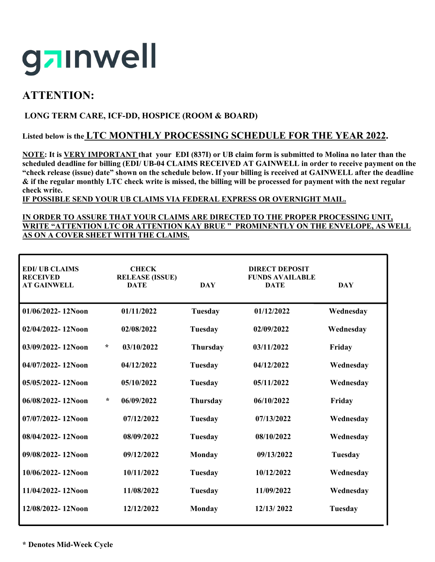

# **ATTENTION:**

### **LONG TERM CARE, ICF-DD, HOSPICE (ROOM & BOARD)**

### **Listed below is the LTC MONTHLY PROCESSING SCHEDULE FOR THE YEAR 2022.**

**NOTE: It is VERY IMPORTANT that your EDI (837I) or UB claim form is submitted to Molina no later than the scheduled deadline for billing (EDI/ UB-04 CLAIMS RECEIVED AT GAINWELL in order to receive payment on the "check release (issue) date" shown on the schedule below. If your billing is received at GAINWELL after the deadline & if the regular monthly LTC check write is missed, the billing will be processed for payment with the next regular check write.**

**IF POSSIBLE SEND YOUR UB CLAIMS VIA FEDERAL EXPRESS OR OVERNIGHT MAIL.** 

#### **IN ORDER TO ASSURE THAT YOUR CLAIMS ARE DIRECTED TO THE PROPER PROCESSING UNIT, WRITE "ATTENTION LTC OR ATTENTION KAY BRUE " PROMINENTLY ON THE ENVELOPE, AS WELL AS ON A COVER SHEET WITH THE CLAIMS.**

| <b>EDI/ UB CLAIMS</b><br><b>RECEIVED</b><br><b>AT GAINWELL</b> |        | <b>CHECK</b><br><b>RELEASE (ISSUE)</b><br><b>DATE</b> | <b>DAY</b>      | <b>DIRECT DEPOSIT</b><br><b>FUNDS AVAILABLE</b><br><b>DATE</b> | <b>DAY</b> |
|----------------------------------------------------------------|--------|-------------------------------------------------------|-----------------|----------------------------------------------------------------|------------|
| 01/06/2022-12Noon                                              |        | 01/11/2022                                            | <b>Tuesday</b>  | 01/12/2022                                                     | Wednesday  |
| $02/04/2022 - 12N$ oon                                         |        | 02/08/2022                                            | Tuesday         | 02/09/2022                                                     | Wednesday  |
| 03/09/2022-12Noon                                              | $\ast$ | 03/10/2022                                            | <b>Thursday</b> | 03/11/2022                                                     | Friday     |
| 04/07/2022-12Noon                                              |        | 04/12/2022                                            | Tuesday         | 04/12/2022                                                     | Wednesday  |
| 05/05/2022-12Noon                                              |        | 05/10/2022                                            | Tuesday         | 05/11/2022                                                     | Wednesday  |
| 06/08/2022-12Noon                                              | ÷      | 06/09/2022                                            | <b>Thursday</b> | 06/10/2022                                                     | Friday     |
| 07/07/2022-12Noon                                              |        | 07/12/2022                                            | <b>Tuesday</b>  | 07/13/2022                                                     | Wednesday  |
| 08/04/2022-12Noon                                              |        | 08/09/2022                                            | <b>Tuesday</b>  | 08/10/2022                                                     | Wednesday  |
| 09/08/2022-12Noon                                              |        | 09/12/2022                                            | Monday          | 09/13/2022                                                     | Tuesday    |
| 10/06/2022-12Noon                                              |        | 10/11/2022                                            | Tuesday         | 10/12/2022                                                     | Wednesday  |
| 11/04/2022-12Noon                                              |        | 11/08/2022                                            | Tuesday         | 11/09/2022                                                     | Wednesday  |
| 12/08/2022-12Noon                                              |        | 12/12/2022                                            | Monday          | 12/13/2022                                                     | Tuesday    |
|                                                                |        |                                                       |                 |                                                                |            |

**\* Denotes Mid-Week Cycle**